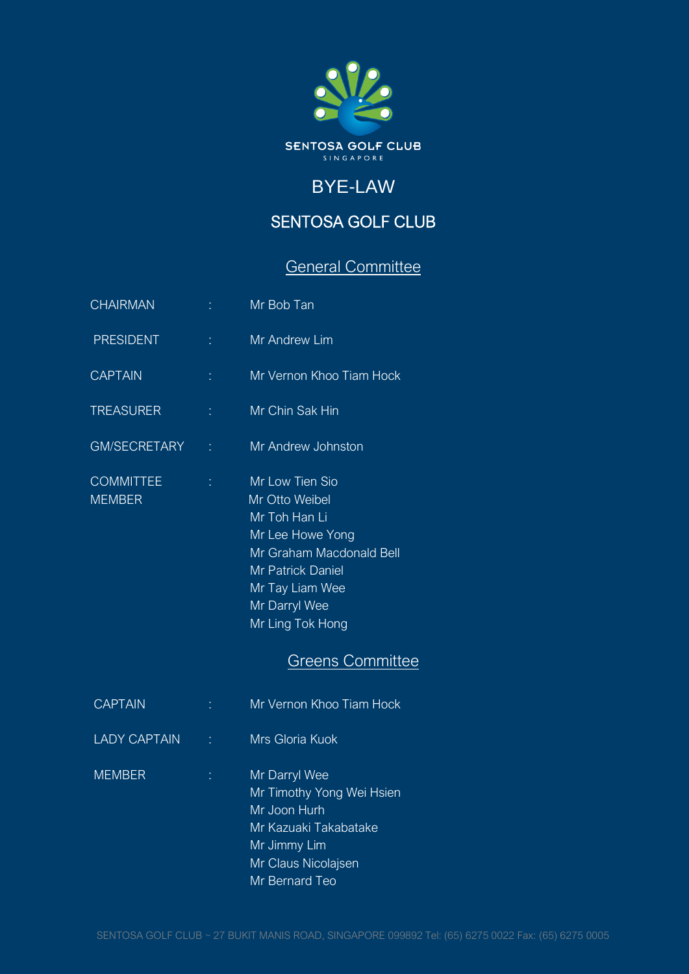

## BYE-LAW

## SENTOSA GOLF CLUB

# General Committee

| CHAIRMAN                          |    | Mr Bob Tan                                                                                                                                                                             |
|-----------------------------------|----|----------------------------------------------------------------------------------------------------------------------------------------------------------------------------------------|
| <b>PRESIDENT</b>                  |    | Mr Andrew Lim                                                                                                                                                                          |
| <b>CAPTAIN</b>                    | t. | Mr Vernon Khoo Tiam Hock                                                                                                                                                               |
| <b>TREASURER</b>                  | t. | Mr Chin Sak Hin                                                                                                                                                                        |
| <b>GM/SECRETARY</b>               | t. | Mr Andrew Johnston                                                                                                                                                                     |
| <b>COMMITTEE</b><br><b>MEMBER</b> | t. | Mr Low Tien Sio<br>Mr Otto Weibel<br>Mr Toh Han Li<br>Mr Lee Howe Yong<br>Mr Graham Macdonald Bell<br><b>Mr Patrick Daniel</b><br>Mr Tay Liam Wee<br>Mr Darryl Wee<br>Mr Ling Tok Hong |

## Greens Committee

| <b>CAPTAIN</b>      | Mr Vernon Khoo Tiam Hock                                                                                                                     |
|---------------------|----------------------------------------------------------------------------------------------------------------------------------------------|
| <b>LADY CAPTAIN</b> | Mrs Gloria Kuok                                                                                                                              |
| <b>MEMBER</b>       | Mr Darryl Wee<br>Mr Timothy Yong Wei Hsien<br>Mr Joon Hurh<br>Mr Kazuaki Takabatake<br>Mr Jimmy Lim<br>Mr Claus Nicolajsen<br>Mr Bernard Teo |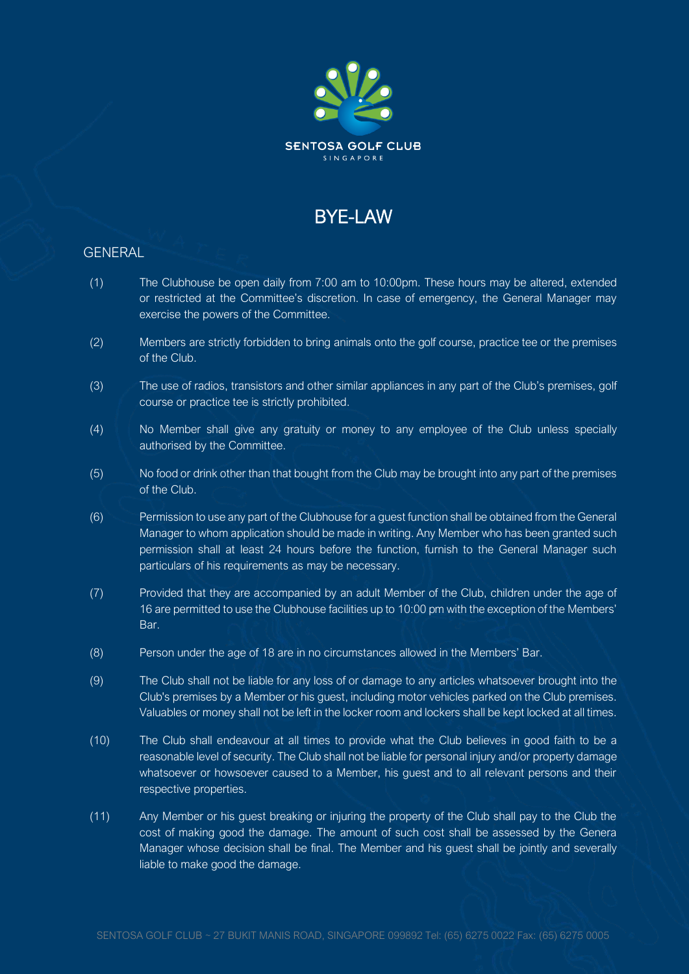

## **BYF-LAW**

### GENERAL

- $(1)$  The Clubhouse be open daily from 7:00 am to 10:00pm. These hours may be altered, extended or restricted at the Committee's discretion. In case of emergency, the General Manager may exercise the powers of the Committee.
- (2) Members are strictly forbidden to bring animals onto the golf course, practice tee or the premises of the Club.
- (3) The use of radios, transistors and other similar appliances in any part of the Club's premises, golf course or practice tee is strictly prohibited.
- (4) No Member shall give any gratuity or money to any employee of the Club unless specially authorised by the Committee.
- (5) No food or drink other than that bought from the Club may be brought into any part of the premises of the Club.
- (6) Permission to use any part of the Clubhouse for a guest function shall be obtained from the General Manager to whom application should be made in writing. Any Member who has been granted such permission shall at least 24 hours before the function, furnish to the General Manager such particulars of his requirements as may be necessary.
- (7) Provided that they are accompanied by an adult Member of the Club, children under the age of 16 are permitted to use the Clubhouse facilities up to 10:00 pm with the exception of the Members' Bar.
- (8) Person under the age of 18 are in no circumstances allowed in the Members' Bar.
- (9) The Club shall not be liable for any loss of or damage to any articles whatsoever brought into the Club's premises by a Member or his guest, including motor vehicles parked on the Club premises. Valuables or money shall not be left in the locker room and lockers shall be kept locked at all times.
- (10) The Club shall endeavour at all times to provide what the Club believes in good faith to be a reasonable level of security. The Club shall not be liable for personal injury and/or property damage whatsoever or howsoever caused to a Member, his guest and to all relevant persons and their respective properties.
- (11) Any Member or his guest breaking or injuring the property of the Club shall pay to the Club the cost of making good the damage. The amount of such cost shall be assessed by the Genera Manager whose decision shall be final. The Member and his guest shall be jointly and severally liable to make good the damage.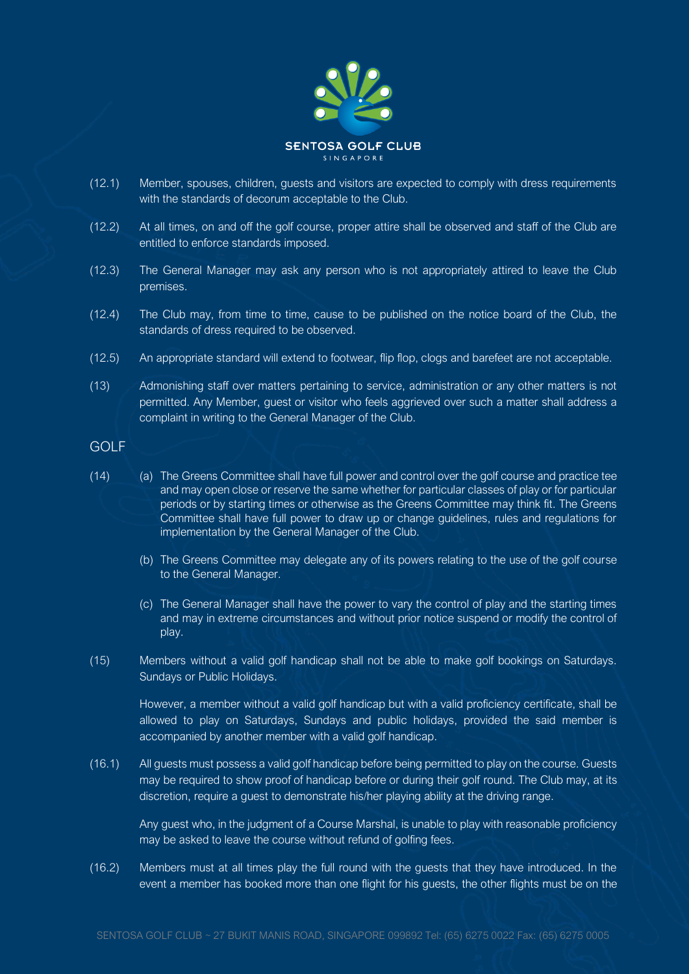

- (12.1) Member, spouses, children, guests and visitors are expected to comply with dress requirements with the standards of decorum acceptable to the Club.
- (12.2) At all times, on and off the golf course, proper attire shall be observed and staff of the Club are entitled to enforce standards imposed.
- (12.3) The General Manager may ask any person who is not appropriately attired to leave the Club premises.
- (12.4) The Club may, from time to time, cause to be published on the notice board of the Club, the standards of dress required to be observed.
- (12.5) An appropriate standard will extend to footwear, flip flop, clogs and barefeet are not acceptable.
- (13) Admonishing staff over matters pertaining to service, administration or any other matters is not permitted. Any Member, guest or visitor who feels aggrieved over such a matter shall address a complaint in writing to the General Manager of the Club.
- GOLF
- (14) (a) The Greens Committee shall have full power and control over the golf course and practice tee and may open close or reserve the same whether for particular classes of play or for particular periods or by starting times or otherwise as the Greens Committee may think fit. The Greens Committee shall have full power to draw up or change guidelines, rules and regulations for implementation by the General Manager of the Club.
	- (b) The Greens Committee may delegate any of its powers relating to the use of the golf course to the General Manager.
	- (c) The General Manager shall have the power to vary the control of play and the starting times and may in extreme circumstances and without prior notice suspend or modify the control of play.
- (15) Members without a valid golf handicap shall not be able to make golf bookings on Saturdays. Sundays or Public Holidays.

However, a member without a valid golf handicap but with a valid proficiency certificate, shall be allowed to play on Saturdays, Sundays and public holidays, provided the said member is accompanied by another member with a valid golf handicap.

(16.1) All guests must possess a valid golf handicap before being permitted to play on the course. Guests may be required to show proof of handicap before or during their golf round. The Club may, at its discretion, require a guest to demonstrate his/her playing ability at the driving range.

Any guest who, in the judgment of a Course Marshal, is unable to play with reasonable proficiency may be asked to leave the course without refund of golfing fees.

(16.2) Members must at all times play the full round with the guests that they have introduced. In the event a member has booked more than one flight for his guests, the other flights must be on the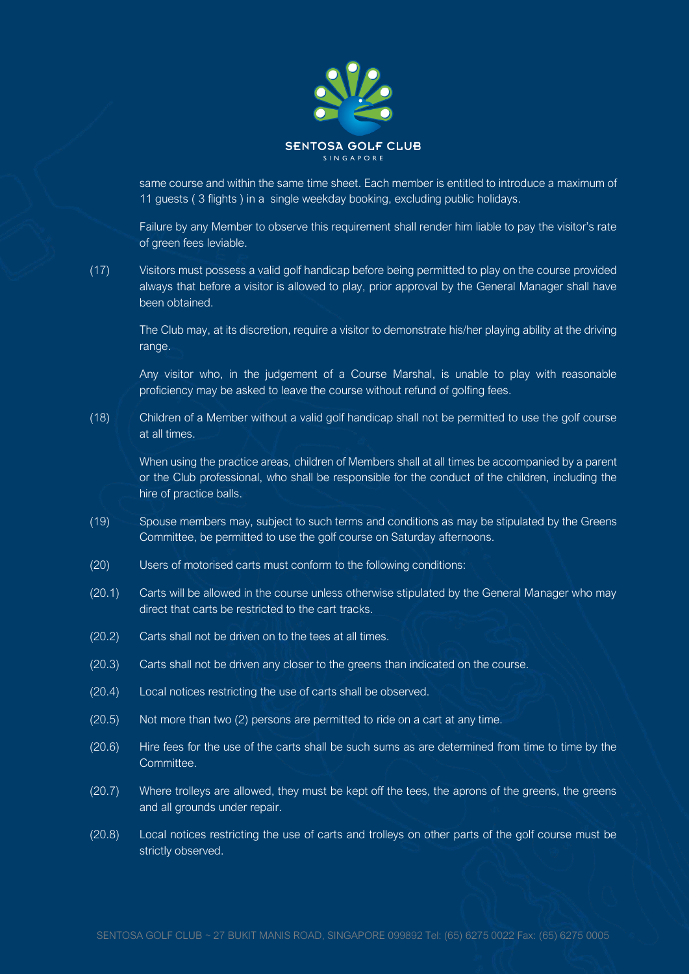

same course and within the same time sheet. Each member is entitled to introduce a maximum of 11 guests ( 3 flights ) in a single weekday booking, excluding public holidays.

Failure by any Member to observe this requirement shall render him liable to pay the visitor's rate of green fees leviable.

(17) Visitors must possess a valid golf handicap before being permitted to play on the course provided always that before a visitor is allowed to play, prior approval by the General Manager shall have been obtained.

The Club may, at its discretion, require a visitor to demonstrate his/her playing ability at the driving range.

Any visitor who, in the judgement of a Course Marshal, is unable to play with reasonable proficiency may be asked to leave the course without refund of golfing fees.

(18) Children of a Member without a valid golf handicap shall not be permitted to use the golf course at all times.

When using the practice areas, children of Members shall at all times be accompanied by a parent or the Club professional, who shall be responsible for the conduct of the children, including the hire of practice balls.

- (19) Spouse members may, subject to such terms and conditions as may be stipulated by the Greens Committee, be permitted to use the golf course on Saturday afternoons.
- (20) Users of motorised carts must conform to the following conditions:
- (20.1) Carts will be allowed in the course unless otherwise stipulated by the General Manager who may direct that carts be restricted to the cart tracks.
- (20.2) Carts shall not be driven on to the tees at all times.
- (20.3) Carts shall not be driven any closer to the greens than indicated on the course.
- (20.4) Local notices restricting the use of carts shall be observed.
- (20.5) Not more than two (2) persons are permitted to ride on a cart at any time.
- (20.6) Hire fees for the use of the carts shall be such sums as are determined from time to time by the Committee.
- (20.7) Where trolleys are allowed, they must be kept off the tees, the aprons of the greens, the greens and all grounds under repair.
- (20.8) Local notices restricting the use of carts and trolleys on other parts of the golf course must be strictly observed.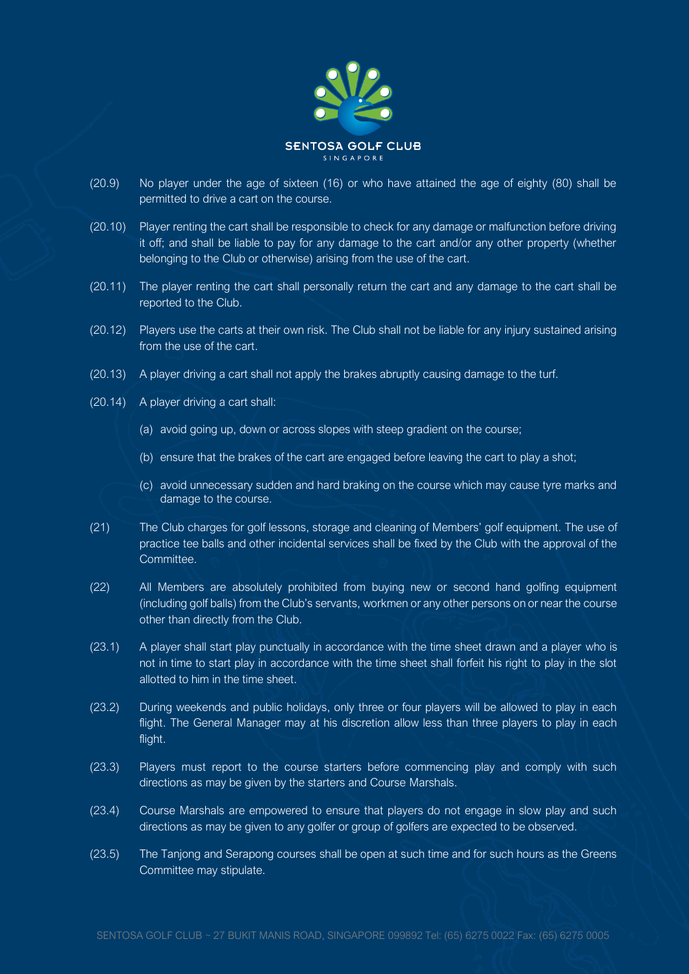

- (20.9) No player under the age of sixteen (16) or who have attained the age of eighty (80) shall be permitted to drive a cart on the course.
- (20.10) Player renting the cart shall be responsible to check for any damage or malfunction before driving it off; and shall be liable to pay for any damage to the cart and/or any other property (whether belonging to the Club or otherwise) arising from the use of the cart.
- (20.11) The player renting the cart shall personally return the cart and any damage to the cart shall be reported to the Club.
- (20.12) Players use the carts at their own risk. The Club shall not be liable for any injury sustained arising from the use of the cart.
- (20.13) A player driving a cart shall not apply the brakes abruptly causing damage to the turf.
- (20.14) A player driving a cart shall:
	- (a) avoid going up, down or across slopes with steep gradient on the course;
	- (b) ensure that the brakes of the cart are engaged before leaving the cart to play a shot;
	- (c) avoid unnecessary sudden and hard braking on the course which may cause tyre marks and damage to the course.
- (21) The Club charges for golf lessons, storage and cleaning of Members' golf equipment. The use of practice tee balls and other incidental services shall be fixed by the Club with the approval of the Committee.
- (22) All Members are absolutely prohibited from buying new or second hand golfing equipment (including golf balls) from the Club's servants, workmen or any other persons on or near the course other than directly from the Club.
- (23.1) A player shall start play punctually in accordance with the time sheet drawn and a player who is not in time to start play in accordance with the time sheet shall forfeit his right to play in the slot allotted to him in the time sheet.
- (23.2) During weekends and public holidays, only three or four players will be allowed to play in each flight. The General Manager may at his discretion allow less than three players to play in each flight.
- (23.3) Players must report to the course starters before commencing play and comply with such directions as may be given by the starters and Course Marshals.
- (23.4) Course Marshals are empowered to ensure that players do not engage in slow play and such directions as may be given to any golfer or group of golfers are expected to be observed.
- (23.5) The Tanjong and Serapong courses shall be open at such time and for such hours as the Greens Committee may stipulate.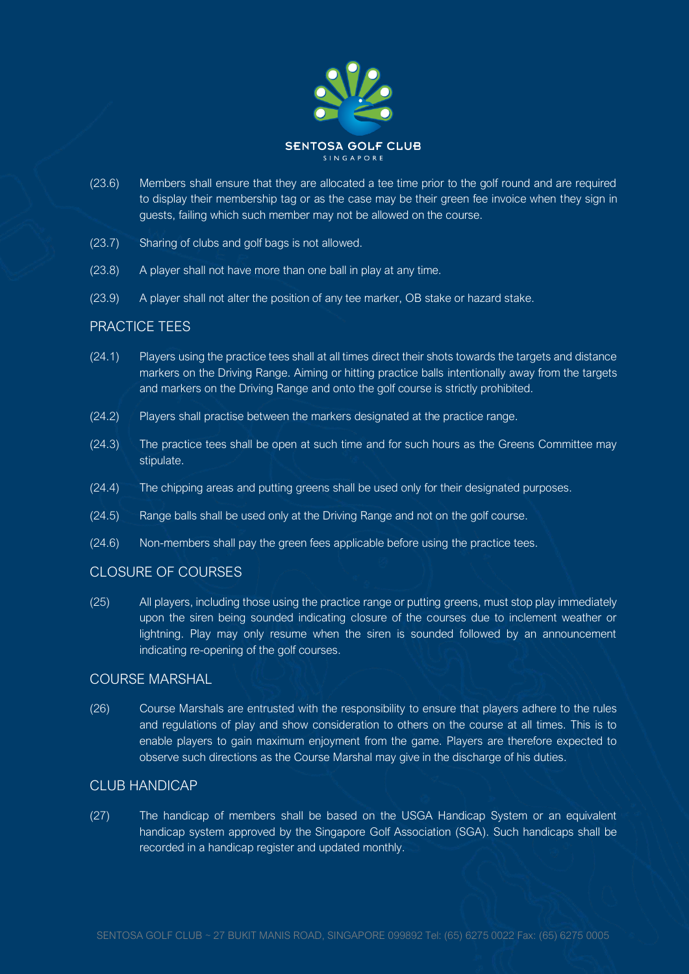

- (23.6) Members shall ensure that they are allocated a tee time prior to the golf round and are required to display their membership tag or as the case may be their green fee invoice when they sign in guests, failing which such member may not be allowed on the course.
- (23.7) Sharing of clubs and golf bags is not allowed.
- (23.8) A player shall not have more than one ball in play at any time.
- (23.9) A player shall not alter the position of any tee marker, OB stake or hazard stake.

### PRACTICE TEES

- (24.1) Players using the practice tees shall at all times direct their shots towards the targets and distance markers on the Driving Range. Aiming or hitting practice balls intentionally away from the targets and markers on the Driving Range and onto the golf course is strictly prohibited.
- (24.2) Players shall practise between the markers designated at the practice range.
- (24.3) The practice tees shall be open at such time and for such hours as the Greens Committee may stipulate.
- (24.4) The chipping areas and putting greens shall be used only for their designated purposes.
- (24.5) Range balls shall be used only at the Driving Range and not on the golf course.
- (24.6) Non-members shall pay the green fees applicable before using the practice tees.

#### CLOSURE OF COURSES

(25) All players, including those using the practice range or putting greens, must stop play immediately upon the siren being sounded indicating closure of the courses due to inclement weather or lightning. Play may only resume when the siren is sounded followed by an announcement indicating re-opening of the golf courses.

## COURSE MARSHAL

(26) Course Marshals are entrusted with the responsibility to ensure that players adhere to the rules and regulations of play and show consideration to others on the course at all times. This is to enable players to gain maximum enjoyment from the game. Players are therefore expected to observe such directions as the Course Marshal may give in the discharge of his duties.

### CLUB HANDICAP

(27) The handicap of members shall be based on the USGA Handicap System or an equivalent handicap system approved by the Singapore Golf Association (SGA). Such handicaps shall be recorded in a handicap register and updated monthly.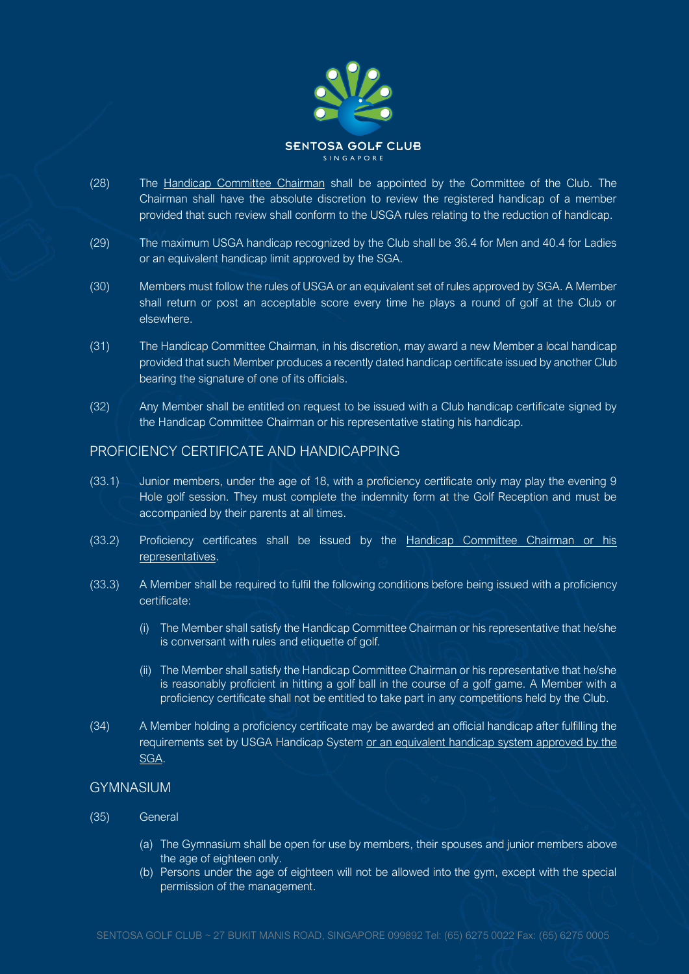

- (28) The Handicap Committee Chairman shall be appointed by the Committee of the Club. The Chairman shall have the absolute discretion to review the registered handicap of a member provided that such review shall conform to the USGA rules relating to the reduction of handicap.
- (29) The maximum USGA handicap recognized by the Club shall be 36.4 for Men and 40.4 for Ladies or an equivalent handicap limit approved by the SGA.
- (30) Members must follow the rules of USGA or an equivalent set of rules approved by SGA. A Member shall return or post an acceptable score every time he plays a round of golf at the Club or elsewhere.
- (31) The Handicap Committee Chairman, in his discretion, may award a new Member a local handicap provided that such Member produces a recently dated handicap certificate issued by another Club bearing the signature of one of its officials.
- (32) Any Member shall be entitled on request to be issued with a Club handicap certificate signed by the Handicap Committee Chairman or his representative stating his handicap.

### PROFICIENCY CERTIFICATE AND HANDICAPPING

- (33.1) Junior members, under the age of 18, with a proficiency certificate only may play the evening 9 Hole golf session. They must complete the indemnity form at the Golf Reception and must be accompanied by their parents at all times.
- (33.2) Proficiency certificates shall be issued by the Handicap Committee Chairman or his representatives.
- (33.3) A Member shall be required to fulfil the following conditions before being issued with a proficiency certificate:
	- (i) The Member shall satisfy the Handicap Committee Chairman or his representative that he/she is conversant with rules and etiquette of golf.
	- (ii) The Member shall satisfy the Handicap Committee Chairman or his representative that he/she is reasonably proficient in hitting a golf ball in the course of a golf game. A Member with a proficiency certificate shall not be entitled to take part in any competitions held by the Club.
- (34) A Member holding a proficiency certificate may be awarded an official handicap after fulfilling the requirements set by USGA Handicap System or an equivalent handicap system approved by the SGA.

### GYMNASIUM

- (35) General
	- (a) The Gymnasium shall be open for use by members, their spouses and junior members above the age of eighteen only.
	- (b) Persons under the age of eighteen will not be allowed into the gym, except with the special permission of the management.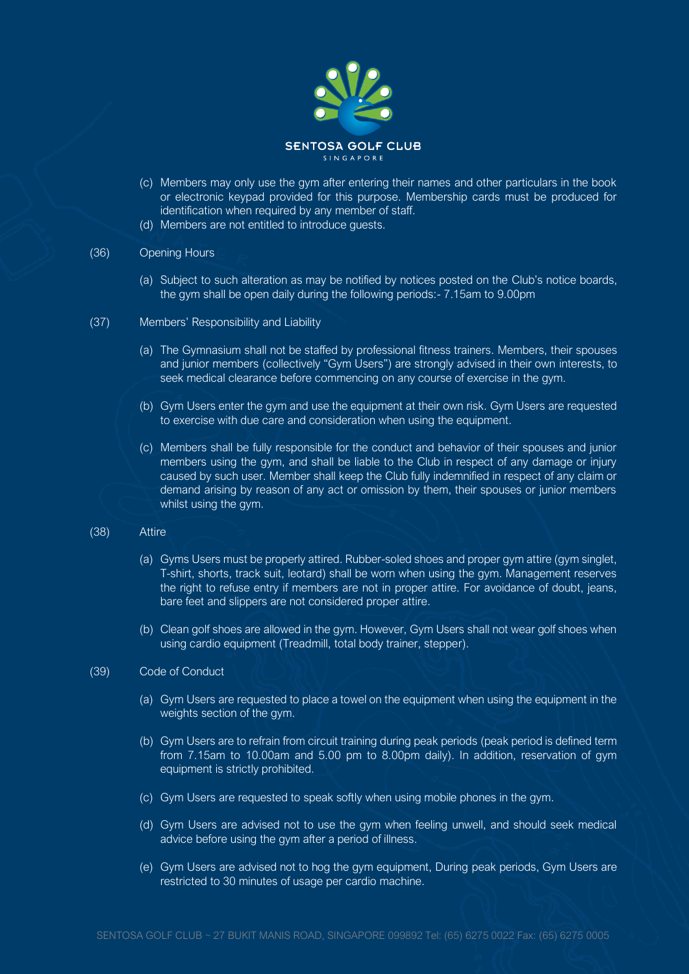

- (c) Members may only use the gym after entering their names and other particulars in the book or electronic keypad provided for this purpose. Membership cards must be produced for identification when required by any member of staff.
- (d) Members are not entitled to introduce guests.

#### (36) Opening Hours

- (a) Subject to such alteration as may be notified by notices posted on the Club's notice boards, the gym shall be open daily during the following periods:- 7.15am to 9.00pm
- (37) Members' Responsibility and Liability
	- (a) The Gymnasium shall not be staffed by professional fitness trainers. Members, their spouses and junior members (collectively "Gym Users") are strongly advised in their own interests, to seek medical clearance before commencing on any course of exercise in the gym.
	- (b) Gym Users enter the gym and use the equipment at their own risk. Gym Users are requested to exercise with due care and consideration when using the equipment.
	- (c) Members shall be fully responsible for the conduct and behavior of their spouses and junior members using the gym, and shall be liable to the Club in respect of any damage or injury caused by such user. Member shall keep the Club fully indemnified in respect of any claim or demand arising by reason of any act or omission by them, their spouses or junior members whilst using the gym.

#### (38) Attire

- (a) Gyms Users must be properly attired. Rubber-soled shoes and proper gym attire (gym singlet, T-shirt, shorts, track suit, leotard) shall be worn when using the gym. Management reserves the right to refuse entry if members are not in proper attire. For avoidance of doubt, jeans, bare feet and slippers are not considered proper attire.
- (b) Clean golf shoes are allowed in the gym. However, Gym Users shall not wear golf shoes when using cardio equipment (Treadmill, total body trainer, stepper).

#### (39) Code of Conduct

- (a) Gym Users are requested to place a towel on the equipment when using the equipment in the weights section of the gym.
- (b) Gym Users are to refrain from circuit training during peak periods (peak period is defined term from 7.15am to 10.00am and 5.00 pm to 8.00pm daily). In addition, reservation of gym equipment is strictly prohibited.
- (c) Gym Users are requested to speak softly when using mobile phones in the gym.
- (d) Gym Users are advised not to use the gym when feeling unwell, and should seek medical advice before using the gym after a period of illness.
- (e) Gym Users are advised not to hog the gym equipment, During peak periods, Gym Users are restricted to 30 minutes of usage per cardio machine.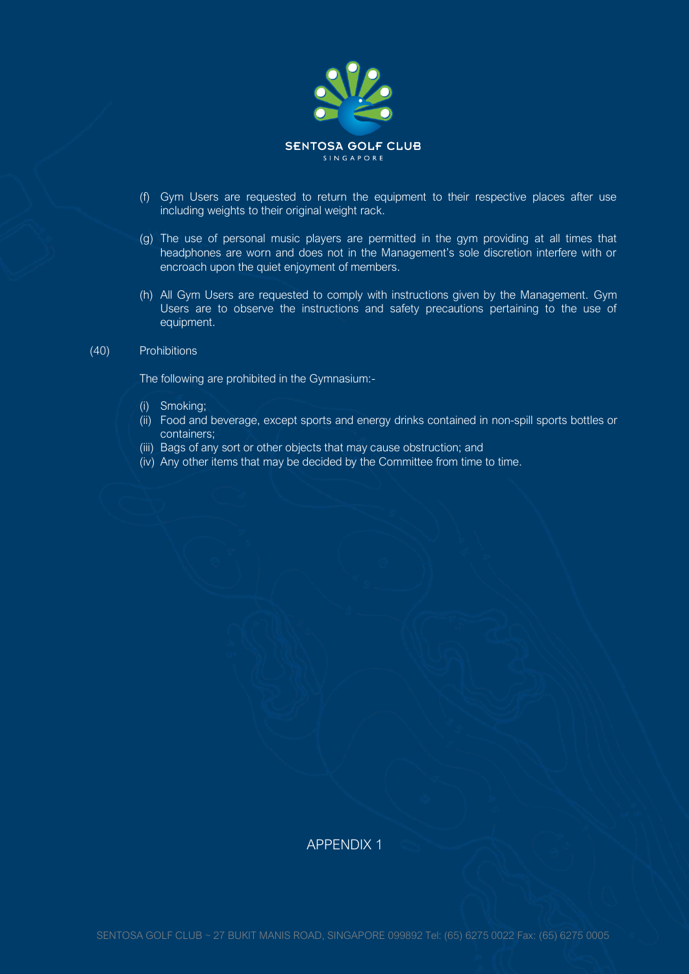

- (f) Gym Users are requested to return the equipment to their respective places after use including weights to their original weight rack.
- (g) The use of personal music players are permitted in the gym providing at all times that headphones are worn and does not in the Management's sole discretion interfere with or encroach upon the quiet enjoyment of members.
- (h) All Gym Users are requested to comply with instructions given by the Management. Gym Users are to observe the instructions and safety precautions pertaining to the use of equipment.

#### (40) Prohibitions

The following are prohibited in the Gymnasium:-

- (i) Smoking;
- (ii) Food and beverage, except sports and energy drinks contained in non-spill sports bottles or containers;
- (iii) Bags of any sort or other objects that may cause obstruction; and
- (iv) Any other items that may be decided by the Committee from time to time.

### APPENDIX 1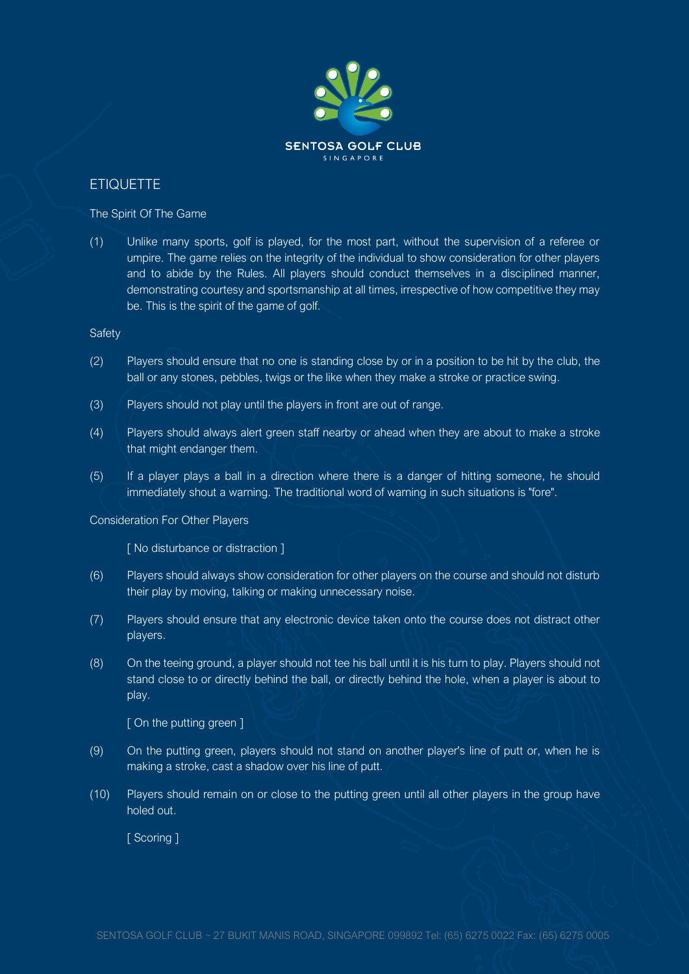

## **ETIQUETTE**

The Spirit Of The Game

(1) Unlike many sports, golf is played, for the most part, without the supervision of a referee or umpire. The game relies on the integrity of the individual to show consideration for other players and to abide by the Rules. All players should conduct themselves in a disciplined manner, demonstrating courtesy and sportsmanship at all times, irrespective of how competitive they may be. This is the spirit of the game of golf.

**Safety** 

- (2) Players should ensure that no one is standing close by or in a position to be hit by the club, the ball or any stones, pebbles, twigs or the like when they make a stroke or practice swing.
- (3) Players should not play until the players in front are out of range.
- (4) Players should always alert green staff nearby or ahead when they are about to make a stroke that might endanger them.
- (5) If a player plays a ball in a direction where there is a danger of hitting someone, he should immediately shout a warning. The traditional word of warning in such situations is "fore".

#### Consideration For Other Players

[ No disturbance or distraction ]

- (6) Players should always show consideration for other players on the course and should not disturb their play by moving, talking or making unnecessary noise.
- (7) Players should ensure that any electronic device taken onto the course does not distract other players.
- (8) On the teeing ground, a player should not tee his ball until it is his turn to play. Players should not stand close to or directly behind the ball, or directly behind the hole, when a player is about to play.

[ On the putting green ]

- (9) On the putting green, players should not stand on another player's line of putt or, when he is making a stroke, cast a shadow over his line of putt.
- (10) Players should remain on or close to the putting green until all other players in the group have holed out.

[ Scoring ]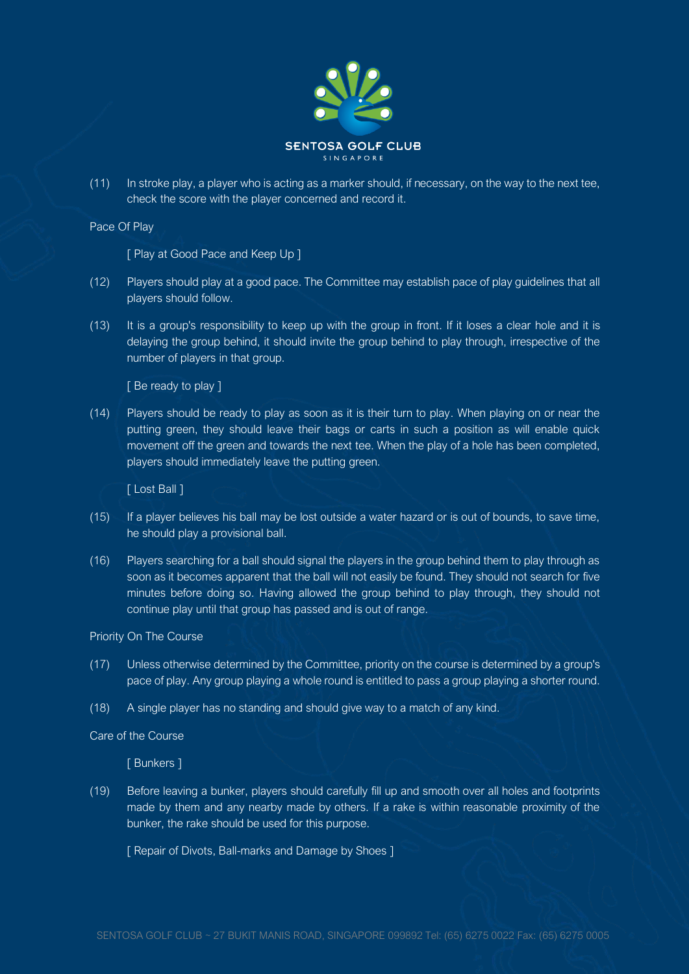

(11) In stroke play, a player who is acting as a marker should, if necessary, on the way to the next tee, check the score with the player concerned and record it.

Pace Of Play

[ Play at Good Pace and Keep Up ]

- (12) Players should play at a good pace. The Committee may establish pace of play guidelines that all players should follow.
- (13) It is a group's responsibility to keep up with the group in front. If it loses a clear hole and it is delaying the group behind, it should invite the group behind to play through, irrespective of the number of players in that group.

[ Be ready to play ]

(14) Players should be ready to play as soon as it is their turn to play. When playing on or near the putting green, they should leave their bags or carts in such a position as will enable quick movement off the green and towards the next tee. When the play of a hole has been completed, players should immediately leave the putting green.

[ Lost Ball ]

- (15) If a player believes his ball may be lost outside a water hazard or is out of bounds, to save time, he should play a provisional ball.
- (16) Players searching for a ball should signal the players in the group behind them to play through as soon as it becomes apparent that the ball will not easily be found. They should not search for five minutes before doing so. Having allowed the group behind to play through, they should not continue play until that group has passed and is out of range.

Priority On The Course

- (17) Unless otherwise determined by the Committee, priority on the course is determined by a group's pace of play. Any group playing a whole round is entitled to pass a group playing a shorter round.
- (18) A single player has no standing and should give way to a match of any kind.

Care of the Course

[ Bunkers ]

(19) Before leaving a bunker, players should carefully fill up and smooth over all holes and footprints made by them and any nearby made by others. If a rake is within reasonable proximity of the bunker, the rake should be used for this purpose.

[ Repair of Divots, Ball-marks and Damage by Shoes ]